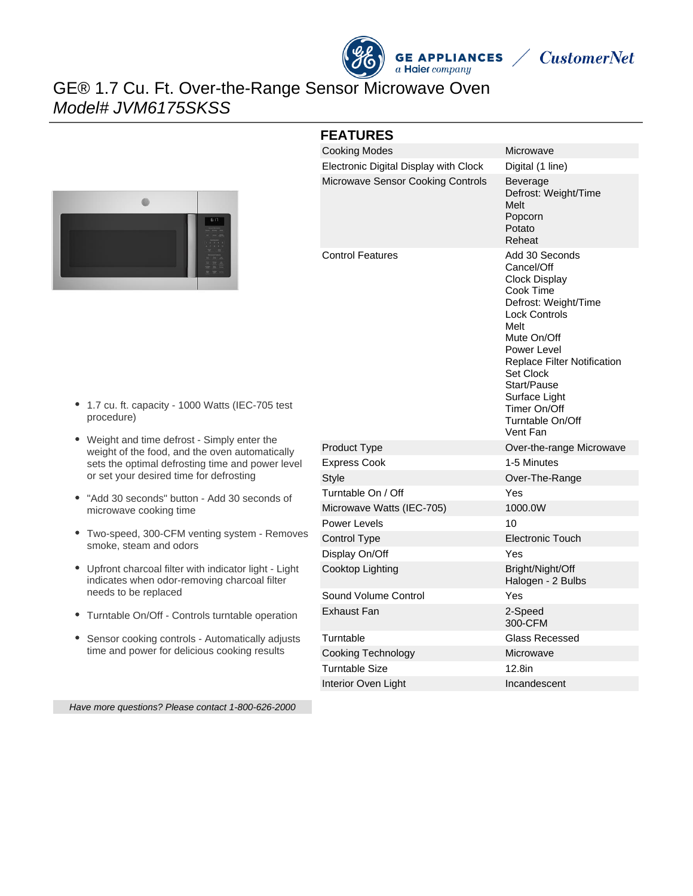

**CustomerNet** 

# GE® 1.7 Cu. Ft. Over-the-Range Sensor Microwave Oven Model# JVM6175SKSS



#### **FEATURES**

| <b>Cooking Modes</b>                  | Microwave                                                                                                                                                                                                                                                                           |
|---------------------------------------|-------------------------------------------------------------------------------------------------------------------------------------------------------------------------------------------------------------------------------------------------------------------------------------|
| Electronic Digital Display with Clock | Digital (1 line)                                                                                                                                                                                                                                                                    |
| Microwave Sensor Cooking Controls     | Beverage<br>Defrost: Weight/Time<br>Melt<br>Popcorn<br>Potato<br>Reheat                                                                                                                                                                                                             |
| <b>Control Features</b>               | Add 30 Seconds<br>Cancel/Off<br><b>Clock Display</b><br>Cook Time<br>Defrost: Weight/Time<br><b>Lock Controls</b><br>Melt<br>Mute On/Off<br>Power Level<br>Replace Filter Notification<br>Set Clock<br>Start/Pause<br>Surface Light<br>Timer On/Off<br>Turntable On/Off<br>Vent Fan |
| Product Type                          | Over-the-range Microwave                                                                                                                                                                                                                                                            |
| <b>Express Cook</b>                   | 1-5 Minutes                                                                                                                                                                                                                                                                         |
| <b>Style</b>                          | Over-The-Range                                                                                                                                                                                                                                                                      |
| Turntable On / Off                    | Yes                                                                                                                                                                                                                                                                                 |
| Microwave Watts (IEC-705)             | 1000.0W                                                                                                                                                                                                                                                                             |
| Power Levels                          | 10                                                                                                                                                                                                                                                                                  |
| <b>Control Type</b>                   | <b>Electronic Touch</b>                                                                                                                                                                                                                                                             |
| Display On/Off                        | Yes                                                                                                                                                                                                                                                                                 |
| Cooktop Lighting                      | Bright/Night/Off<br>Halogen - 2 Bulbs                                                                                                                                                                                                                                               |
| Sound Volume Control                  | Yes                                                                                                                                                                                                                                                                                 |
| Exhaust Fan                           | 2-Speed<br>300-CFM                                                                                                                                                                                                                                                                  |
| Turntable                             | <b>Glass Recessed</b>                                                                                                                                                                                                                                                               |
| <b>Cooking Technology</b>             | Microwave                                                                                                                                                                                                                                                                           |
| Turntable Size                        | 12.8in                                                                                                                                                                                                                                                                              |
| Interior Oven Light                   | Incandescent                                                                                                                                                                                                                                                                        |

- 1.7 cu. ft. capacity 1000 Watts (IEC-705 test procedure)
- Weight and time defrost Simply enter the weight of the food, and the oven automatically sets the optimal defrosting time and power level or set your desired time for defrosting
- "Add 30 seconds" button Add 30 seconds of microwave cooking time
- Two-speed, 300-CFM venting system Removes smoke, steam and odors
- Upfront charcoal filter with indicator light Light indicates when odor-removing charcoal filter needs to be replaced
- Turntable On/Off Controls turntable operation
- Sensor cooking controls Automatically adjusts time and power for delicious cooking results

Have more questions? Please contact 1-800-626-2000